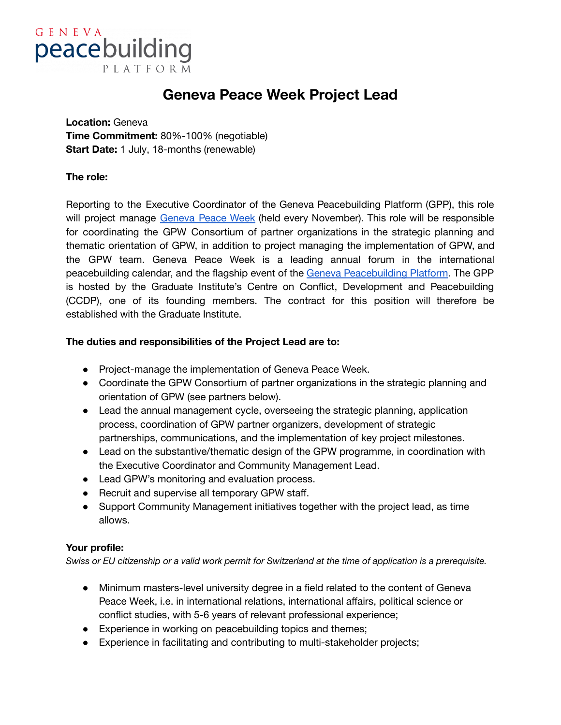

# **Geneva Peace Week Project Lead**

**Location:** Geneva **Time Commitment:** 80%-100% (negotiable) **Start Date:** 1 July, 18-months (renewable)

## **The role:**

Reporting to the Executive Coordinator of the Geneva Peacebuilding Platform (GPP), this role will project manage [Geneva](http://genevapeaceweek.ch/gpw20) Peace Week (held every November). This role will be responsible for coordinating the GPW Consortium of partner organizations in the strategic planning and thematic orientation of GPW, in addition to project managing the implementation of GPW, and the GPW team. Geneva Peace Week is a leading annual forum in the international peacebuilding calendar, and the flagship event of the Geneva [Peacebuilding](https://gpplatform.ch/) Platform. The GPP is hosted by the Graduate Institute's Centre on Conflict, Development and Peacebuilding (CCDP), one of its founding members. The contract for this position will therefore be established with the Graduate Institute.

## **The duties and responsibilities of the Project Lead are to:**

- Project-manage the implementation of Geneva Peace Week.
- Coordinate the GPW Consortium of partner organizations in the strategic planning and orientation of GPW (see partners below).
- Lead the annual management cycle, overseeing the strategic planning, application process, coordination of GPW partner organizers, development of strategic partnerships, communications, and the implementation of key project milestones.
- Lead on the substantive/thematic design of the GPW programme, in coordination with the Executive Coordinator and Community Management Lead.
- Lead GPW's monitoring and evaluation process.
- Recruit and supervise all temporary GPW staff.
- Support Community Management initiatives together with the project lead, as time allows.

#### **Your profile:**

Swiss or EU citizenship or a valid work permit for Switzerland at the time of application is a prerequisite.

- Minimum masters-level university degree in a field related to the content of Geneva Peace Week, i.e. in international relations, international affairs, political science or conflict studies, with 5-6 years of relevant professional experience;
- Experience in working on peacebuilding topics and themes;
- Experience in facilitating and contributing to multi-stakeholder projects;